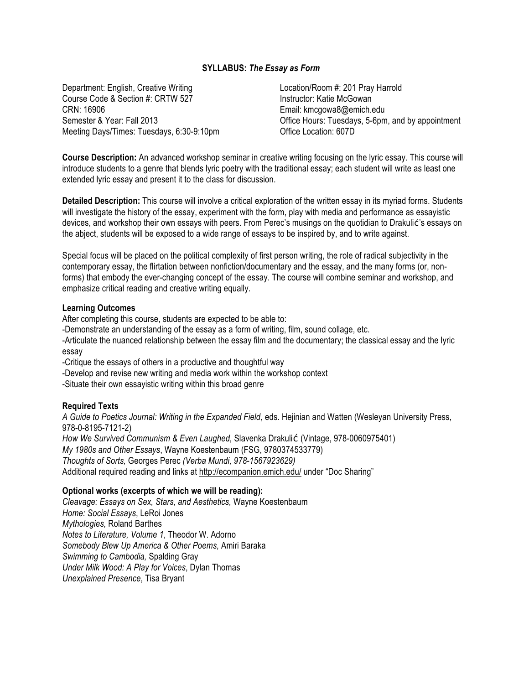## **SYLLABUS:** *The Essay as Form*

Department: English, Creative Writing Course Code & Section #: CRTW 527 CRN: 16906 Semester & Year: Fall 2013 Meeting Days/Times: Tuesdays, 6:30-9:10pm Location/Room #: 201 Pray Harrold Instructor: Katie McGowan Email: kmcgowa8@emich.edu Office Hours: Tuesdays, 5-6pm, and by appointment Office Location: 607D

**Course Description:** An advanced workshop seminar in creative writing focusing on the lyric essay. This course will introduce students to a genre that blends lyric poetry with the traditional essay; each student will write as least one extended lyric essay and present it to the class for discussion.

**Detailed Description:** This course will involve a critical exploration of the written essay in its myriad forms. Students will investigate the history of the essay, experiment with the form, play with media and performance as essayistic devices, and workshop their own essays with peers. From Perec's musings on the quotidian to Drakulić's essays on the abject, students will be exposed to a wide range of essays to be inspired by, and to write against.

Special focus will be placed on the political complexity of first person writing, the role of radical subjectivity in the contemporary essay, the flirtation between nonfiction/documentary and the essay, and the many forms (or, nonforms) that embody the ever-changing concept of the essay. The course will combine seminar and workshop, and emphasize critical reading and creative writing equally.

### **Learning Outcomes**

After completing this course, students are expected to be able to:

-Demonstrate an understanding of the essay as a form of writing, film, sound collage, etc.

-Articulate the nuanced relationship between the essay film and the documentary; the classical essay and the lyric essay

-Critique the essays of others in a productive and thoughtful way

-Develop and revise new writing and media work within the workshop context

-Situate their own essayistic writing within this broad genre

## **Required Texts**

*A Guide to Poetics Journal: Writing in the Expanded Field*, eds. Hejinian and Watten (Wesleyan University Press, 978-0-8195-7121-2) *How We Survived Communism & Even Laughed,* Slavenka Drakulić (Vintage, 978-0060975401) *My 1980s and Other Essays*, Wayne Koestenbaum (FSG, 9780374533779) *Thoughts of Sorts,* Georges Perec *(Verba Mundi, 978-1567923629)*

Additional required reading and links at http://ecompanion.emich.edu/ under "Doc Sharing"

## **Optional works (excerpts of which we will be reading):**

*Cleavage: Essays on Sex, Stars, and Aesthetics,* Wayne Koestenbaum *Home: Social Essays*, LeRoi Jones *Mythologies,* Roland Barthes *Notes to Literature, Volume 1*, Theodor W. Adorno *Somebody Blew Up America & Other Poems,* Amiri Baraka *Swimming to Cambodia,* Spalding Gray *Under Milk Wood: A Play for Voices*, Dylan Thomas *Unexplained Presence*, Tisa Bryant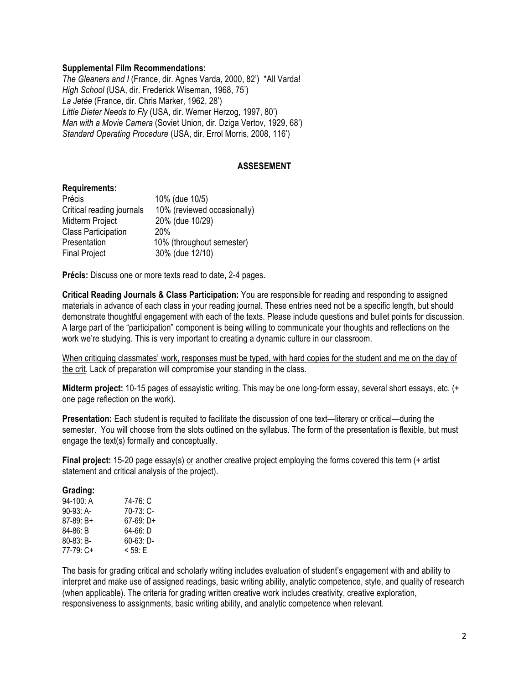### **Supplemental Film Recommendations:**

*The Gleaners and I* (France, dir. Agnes Varda, 2000, 82') \*All Varda! *High School* (USA, dir. Frederick Wiseman, 1968, 75') *La Jetée* (France, dir. Chris Marker, 1962, 28') *Little Dieter Needs to Fly* (USA, dir. Werner Herzog, 1997, 80') *Man with a Movie Camera* (Soviet Union, dir. Dziga Vertov, 1929, 68') *Standard Operating Procedure* (USA, dir. Errol Morris, 2008, 116')

### **ASSESEMENT**

#### **Requirements:**

| Précis                     | 10% (due 10/5)              |
|----------------------------|-----------------------------|
| Critical reading journals  | 10% (reviewed occasionally) |
| Midterm Project            | 20% (due 10/29)             |
| <b>Class Participation</b> | 20%                         |
| Presentation               | 10% (throughout semester)   |
| <b>Final Project</b>       | 30% (due 12/10)             |

**Précis:** Discuss one or more texts read to date, 2-4 pages.

**Critical Reading Journals & Class Participation:** You are responsible for reading and responding to assigned materials in advance of each class in your reading journal. These entries need not be a specific length, but should demonstrate thoughtful engagement with each of the texts. Please include questions and bullet points for discussion. A large part of the "participation" component is being willing to communicate your thoughts and reflections on the work we're studying. This is very important to creating a dynamic culture in our classroom.

When critiquing classmates' work, responses must be typed, with hard copies for the student and me on the day of the crit. Lack of preparation will compromise your standing in the class.

**Midterm project:** 10-15 pages of essayistic writing. This may be one long-form essay, several short essays, etc. (+ one page reflection on the work).

**Presentation:** Each student is requited to facilitate the discussion of one text—literary or critical—during the semester. You will choose from the slots outlined on the syllabus. The form of the presentation is flexible, but must engage the text(s) formally and conceptually.

**Final project:** 15-20 page essay(s) or another creative project employing the forms covered this term (+ artist statement and critical analysis of the project).

#### **Grading:**

| 94-100: A   | 74-76: C     |
|-------------|--------------|
| 90-93: A-   | $70-73:$ C-  |
| $87-89: B+$ | $67-69: D+$  |
| $84-86: B$  | $64-66: D$   |
| $80-83: B-$ | $60-63: D -$ |
| 77-79: C+   | $< 59.$ F    |

The basis for grading critical and scholarly writing includes evaluation of student's engagement with and ability to interpret and make use of assigned readings, basic writing ability, analytic competence, style, and quality of research (when applicable). The criteria for grading written creative work includes creativity, creative exploration, responsiveness to assignments, basic writing ability, and analytic competence when relevant.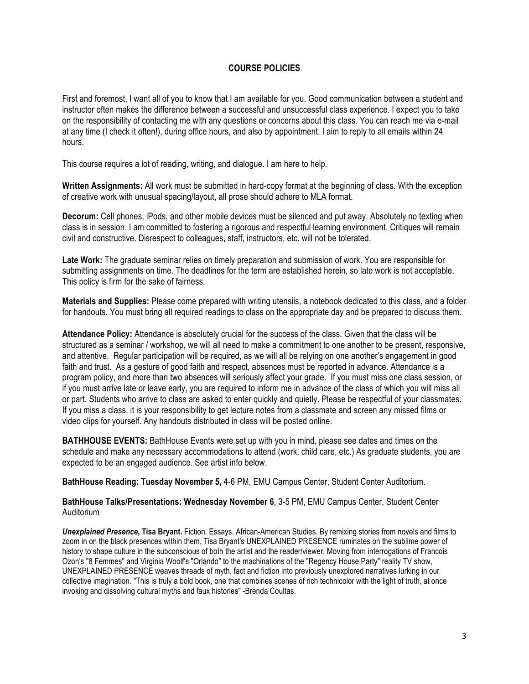# **COURSE POLICIES**

First and foremost, I want all of you to know that I am available for you. Good communication between a student and instructor often makes the difference between a successful and unsuccessful class experience. I expect you to take on the responsibility of contacting me with any questions or concerns about this class. You can reach me via e-mail at any time (I check it often!), during office hours, and also by appointment. I aim to reply to all emails within 24 hours.

This course requires a lot of reading, writing, and dialogue. I am here to help.

**Written Assignments:** All work must be submitted in hard-copy format at the beginning of class. With the exception of creative work with unusual spacing/layout, all prose should adhere to MLA format.

**Decorum:** Cell phones, iPods, and other mobile devices must be silenced and put away. Absolutely no texting when class is in session. I am committed to fostering a rigorous and respectful learning environment. Critiques will remain civil and constructive. Disrespect to colleagues, staff, instructors, etc. will not be tolerated.

**Late Work:** The graduate seminar relies on timely preparation and submission of work. You are responsible for submitting assignments on time. The deadlines for the term are established herein, so late work is not acceptable. This policy is firm for the sake of fairness.

**Materials and Supplies:** Please come prepared with writing utensils, a notebook dedicated to this class, and a folder for handouts. You must bring all required readings to class on the appropriate day and be prepared to discuss them.

**Attendance Policy:** Attendance is absolutely crucial for the success of the class. Given that the class will be structured as a seminar / workshop, we will all need to make a commitment to one another to be present, responsive, and attentive. Regular participation will be required, as we will all be relying on one another's engagement in good faith and trust. As a gesture of good faith and respect, absences must be reported in advance. Attendance is a program policy, and more than two absences will seriously affect your grade. If you must miss one class session, or if you must arrive late or leave early, you are required to inform me in advance of the class of which you will miss all or part. Students who arrive to class are asked to enter quickly and quietly. Please be respectful of your classmates. If you miss a class, it is your responsibility to get lecture notes from a classmate and screen any missed films or video clips for yourself. Any handouts distributed in class will be posted online.

**BATHHOUSE EVENTS:** BathHouse Events were set up with you in mind, please see dates and times on the schedule and make any necessary accommodations to attend (work, child care, etc.) As graduate students, you are expected to be an engaged audience. See artist info below.

**BathHouse Reading: Tuesday November 5,** 4-6 PM, EMU Campus Center, Student Center Auditorium.

**BathHouse Talks/Presentations: Wednesday November 6**, 3-5 PM, EMU Campus Center, Student Center Auditorium

*Unexplained Presence***, Tisa Bryant.** Fiction. Essays. African-American Studies. By remixing stories from novels and films to zoom in on the black presences within them, Tisa Bryant's UNEXPLAINED PRESENCE ruminates on the sublime power of history to shape culture in the subconscious of both the artist and the reader/viewer. Moving from interrogations of Francois Ozon's "8 Femmes" and Virginia Woolf's "Orlando" to the machinations of the "Regency House Party" reality TV show, UNEXPLAINED PRESENCE weaves threads of myth, fact and fiction into previously unexplored narratives lurking in our collective imagination. "This is truly a bold book, one that combines scenes of rich technicolor with the light of truth, at once invoking and dissolving cultural myths and faux histories" -Brenda Coultas.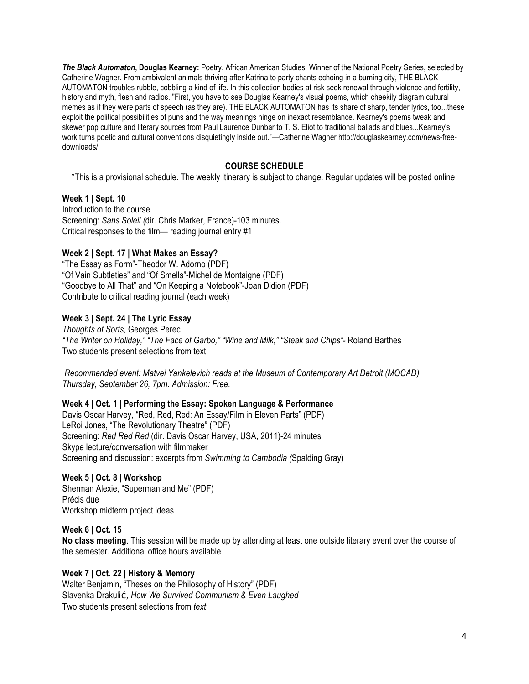*The Black Automaton***, Douglas Kearney:** Poetry. African American Studies. Winner of the National Poetry Series, selected by Catherine Wagner. From ambivalent animals thriving after Katrina to party chants echoing in a burning city, THE BLACK AUTOMATON troubles rubble, cobbling a kind of life. In this collection bodies at risk seek renewal through violence and fertility, history and myth, flesh and radios. "First, you have to see Douglas Kearney's visual poems, which cheekily diagram cultural memes as if they were parts of speech (as they are). THE BLACK AUTOMATON has its share of sharp, tender lyrics, too...these exploit the political possibilities of puns and the way meanings hinge on inexact resemblance. Kearney's poems tweak and skewer pop culture and literary sources from Paul Laurence Dunbar to T. S. Eliot to traditional ballads and blues...Kearney's work turns poetic and cultural conventions disquietingly inside out."—Catherine Wagner http://douglaskearney.com/news-freedownloads/

# **COURSE SCHEDULE**

\*This is a provisional schedule. The weekly itinerary is subject to change. Regular updates will be posted online.

# **Week 1 | Sept. 10**

Introduction to the course Screening: *Sans Soleil (*dir. Chris Marker, France)-103 minutes. Critical responses to the film— reading journal entry #1

# **Week 2 | Sept. 17 | What Makes an Essay?**

"The Essay as Form"-Theodor W. Adorno (PDF) "Of Vain Subtleties" and "Of Smells"-Michel de Montaigne (PDF) "Goodbye to All That" and "On Keeping a Notebook"-Joan Didion (PDF) Contribute to critical reading journal (each week)

# **Week 3 | Sept. 24 | The Lyric Essay**

*Thoughts of Sorts,* Georges Perec *"The Writer on Holiday," "The Face of Garbo," "Wine and Milk," "Steak and Chips"-* Roland Barthes Two students present selections from text

*Recommended event: Matvei Yankelevich reads at the Museum of Contemporary Art Detroit (MOCAD). Thursday, September 26, 7pm. Admission: Free.* 

# **Week 4 | Oct. 1 | Performing the Essay: Spoken Language & Performance**

Davis Oscar Harvey, "Red, Red, Red: An Essay/Film in Eleven Parts" (PDF) LeRoi Jones, "The Revolutionary Theatre" (PDF) Screening: *Red Red Red* (dir. Davis Oscar Harvey, USA, 2011)-24 minutes Skype lecture/conversation with filmmaker Screening and discussion: excerpts from *Swimming to Cambodia (*Spalding Gray)

## **Week 5 | Oct. 8 | Workshop**

Sherman Alexie, "Superman and Me" (PDF) Précis due Workshop midterm project ideas

## **Week 6 | Oct. 15**

**No class meeting**. This session will be made up by attending at least one outside literary event over the course of the semester. Additional office hours available

## **Week 7 | Oct. 22 | History & Memory**

Walter Benjamin, "Theses on the Philosophy of History" (PDF) Slavenka Drakulić*, How We Survived Communism & Even Laughed*  Two students present selections from *text*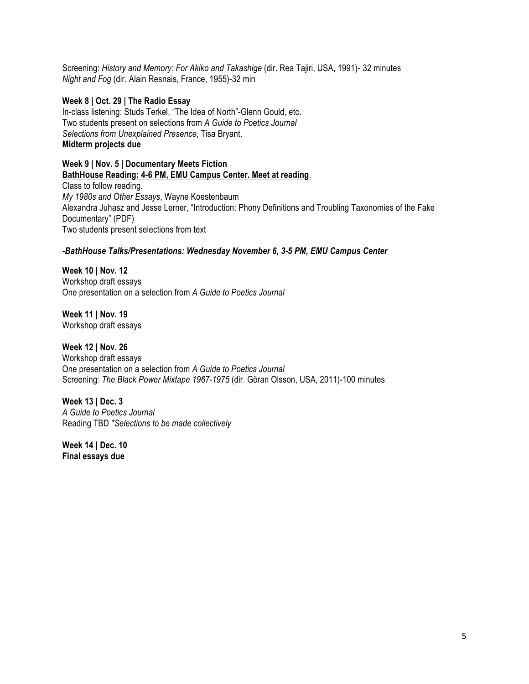Screening: History and Memory: For Akiko and Takashige (dir. Rea Tajiri, USA, 1991)- 32 minutes *Night and Fog* (dir. Alain Resnais, France, 1955)-32 min

### **Week 8 | Oct. 29 | The Radio Essay**

In-class listening: Studs Terkel, "The Idea of North"-Glenn Gould, etc. Two students present on selections from *A Guide to Poetics Journal Selections from Unexplained Presence*, Tisa Bryant. **Midterm projects due**

### **Week 9 | Nov. 5 | Documentary Meets Fiction BathHouse Reading: 4-6 PM, EMU Campus Center. Meet at reading**.

Class to follow reading. *My 1980s and Other Essays*, Wayne Koestenbaum Alexandra Juhasz and Jesse Lerner, "Introduction: Phony Definitions and Troubling Taxonomies of the Fake Documentary" (PDF) Two students present selections from text

## *-BathHouse Talks/Presentations: Wednesday November 6, 3-5 PM, EMU Campus Center*

**Week 10 | Nov. 12** Workshop draft essays One presentation on a selection from *A Guide to Poetics Journal*

**Week 11 | Nov. 19** Workshop draft essays

# **Week 12 | Nov. 26**

Workshop draft essays One presentation on a selection from *A Guide to Poetics Journal* Screening: *The Black Power Mixtape 1967-1975* (dir. Göran Olsson, USA, 2011)-100 minutes

**Week 13 | Dec. 3** *A Guide to Poetics Journal* Reading TBD *\*Selections to be made collectively*

**Week 14 | Dec. 10 Final essays due**